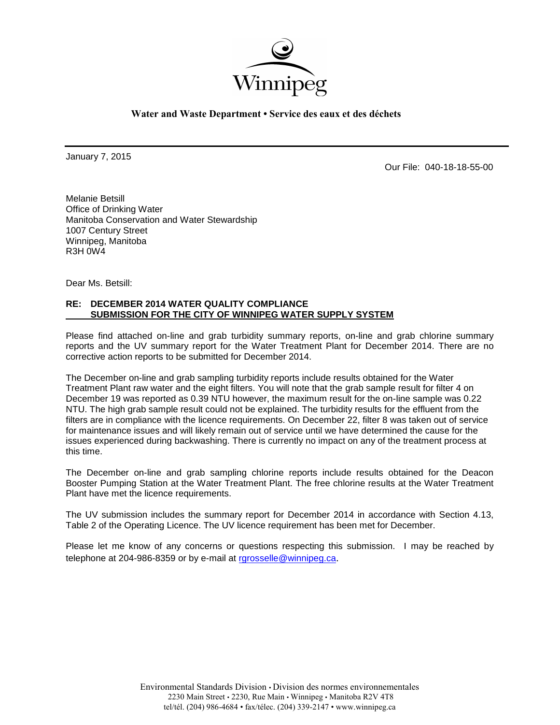

**Water and Waste Department • Service des eaux et des déchets**

January 7, 2015

Our File: 040-18-18-55-00

Melanie Betsill Office of Drinking Water Manitoba Conservation and Water Stewardship 1007 Century Street Winnipeg, Manitoba R3H 0W4

Dear Ms. Betsill:

## **RE: DECEMBER 2014 WATER QUALITY COMPLIANCE SUBMISSION FOR THE CITY OF WINNIPEG WATER SUPPLY SYSTEM**

Please find attached on-line and grab turbidity summary reports, on-line and grab chlorine summary reports and the UV summary report for the Water Treatment Plant for December 2014. There are no corrective action reports to be submitted for December 2014.

The December on-line and grab sampling turbidity reports include results obtained for the Water Treatment Plant raw water and the eight filters. You will note that the grab sample result for filter 4 on December 19 was reported as 0.39 NTU however, the maximum result for the on-line sample was 0.22 NTU. The high grab sample result could not be explained. The turbidity results for the effluent from the filters are in compliance with the licence requirements. On December 22, filter 8 was taken out of service for maintenance issues and will likely remain out of service until we have determined the cause for the issues experienced during backwashing. There is currently no impact on any of the treatment process at this time.

The December on-line and grab sampling chlorine reports include results obtained for the Deacon Booster Pumping Station at the Water Treatment Plant. The free chlorine results at the Water Treatment Plant have met the licence requirements.

The UV submission includes the summary report for December 2014 in accordance with Section 4.13, Table 2 of the Operating Licence. The UV licence requirement has been met for December.

Please let me know of any concerns or questions respecting this submission. I may be reached by telephone at 204-986-8359 or by e-mail at [rgrosselle@winnipeg.ca](mailto:rgrosselle@winnipeg.ca).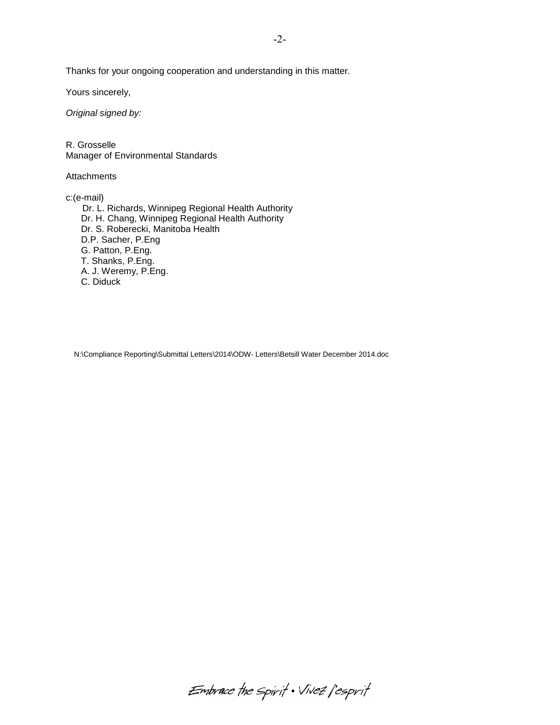Thanks for your ongoing cooperation and understanding in this matter.

Yours sincerely,

*Original signed by:*

R. Grosselle Manager of Environmental Standards

**Attachments** 

c:(e-mail)

Dr. L. Richards, Winnipeg Regional Health Authority Dr. H. Chang, Winnipeg Regional Health Authority Dr. S. Roberecki, Manitoba Health D.P. Sacher, P.Eng G. Patton, P.Eng. T. Shanks, P.Eng. A. J. Weremy, P.Eng. C. Diduck

N:\Compliance Reporting\Submittal Letters\2014\ODW- Letters\Betsill Water December 2014.doc

Embrace the spirit . Vivez l'esprit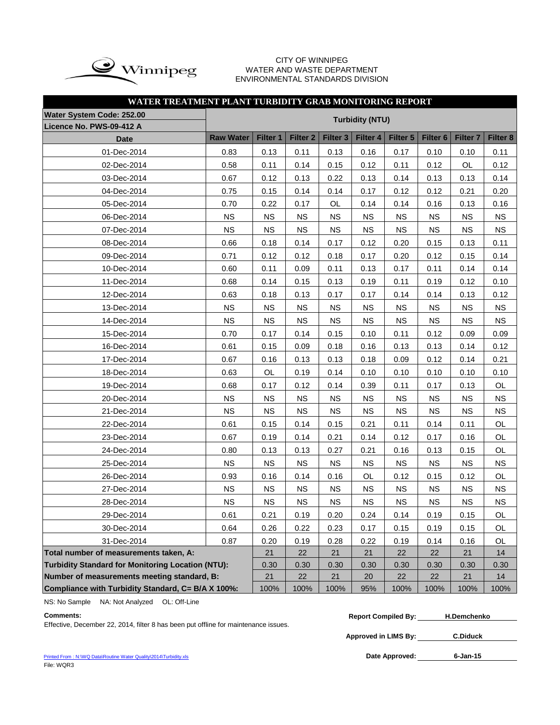

#### CITY OF WINNIPEG WATER AND WASTE DEPARTMENT ENVIRONMENTAL STANDARDS DIVISION

| WATER TREATMENT PLANT TURBIDITY GRAB MONITORING REPORT     |                  |           |                     |                     |           |           |                     |                     |           |  |  |
|------------------------------------------------------------|------------------|-----------|---------------------|---------------------|-----------|-----------|---------------------|---------------------|-----------|--|--|
| <b>Water System Code: 252.00</b><br><b>Turbidity (NTU)</b> |                  |           |                     |                     |           |           |                     |                     |           |  |  |
| Licence No. PWS-09-412 A                                   |                  |           |                     |                     |           |           |                     |                     |           |  |  |
| <b>Date</b>                                                | <b>Raw Water</b> | Filter 1  | Filter <sub>2</sub> | Filter <sub>3</sub> | Filter 4  | Filter 5  | Filter <sub>6</sub> | Filter <sub>7</sub> | Filter 8  |  |  |
| 01-Dec-2014                                                | 0.83             | 0.13      | 0.11                | 0.13                | 0.16      | 0.17      | 0.10                | 0.10                | 0.11      |  |  |
| 02-Dec-2014                                                | 0.58             | 0.11      | 0.14                | 0.15                | 0.12      | 0.11      | 0.12                | OL                  | 0.12      |  |  |
| 03-Dec-2014                                                | 0.67             | 0.12      | 0.13                | 0.22                | 0.13      | 0.14      | 0.13                | 0.13                | 0.14      |  |  |
| 04-Dec-2014                                                | 0.75             | 0.15      | 0.14                | 0.14                | 0.17      | 0.12      | 0.12                | 0.21                | 0.20      |  |  |
| 05-Dec-2014                                                | 0.70             | 0.22      | 0.17                | OL                  | 0.14      | 0.14      | 0.16                | 0.13                | 0.16      |  |  |
| 06-Dec-2014                                                | <b>NS</b>        | <b>NS</b> | <b>NS</b>           | <b>NS</b>           | <b>NS</b> | <b>NS</b> | <b>NS</b>           | <b>NS</b>           | <b>NS</b> |  |  |
| 07-Dec-2014                                                | <b>NS</b>        | <b>NS</b> | <b>NS</b>           | <b>NS</b>           | <b>NS</b> | <b>NS</b> | <b>NS</b>           | <b>NS</b>           | <b>NS</b> |  |  |
| 08-Dec-2014                                                | 0.66             | 0.18      | 0.14                | 0.17                | 0.12      | 0.20      | 0.15                | 0.13                | 0.11      |  |  |
| 09-Dec-2014                                                | 0.71             | 0.12      | 0.12                | 0.18                | 0.17      | 0.20      | 0.12                | 0.15                | 0.14      |  |  |
| 10-Dec-2014                                                | 0.60             | 0.11      | 0.09                | 0.11                | 0.13      | 0.17      | 0.11                | 0.14                | 0.14      |  |  |
| 11-Dec-2014                                                | 0.68             | 0.14      | 0.15                | 0.13                | 0.19      | 0.11      | 0.19                | 0.12                | 0.10      |  |  |
| 12-Dec-2014                                                | 0.63             | 0.18      | 0.13                | 0.17                | 0.17      | 0.14      | 0.14                | 0.13                | 0.12      |  |  |
| 13-Dec-2014                                                | <b>NS</b>        | NS        | <b>NS</b>           | <b>NS</b>           | <b>NS</b> | <b>NS</b> | <b>NS</b>           | <b>NS</b>           | <b>NS</b> |  |  |
| 14-Dec-2014                                                | <b>NS</b>        | <b>NS</b> | <b>NS</b>           | <b>NS</b>           | <b>NS</b> | <b>NS</b> | <b>NS</b>           | <b>NS</b>           | <b>NS</b> |  |  |
| 15-Dec-2014                                                | 0.70             | 0.17      | 0.14                | 0.15                | 0.10      | 0.11      | 0.12                | 0.09                | 0.09      |  |  |
| 16-Dec-2014                                                | 0.61             | 0.15      | 0.09                | 0.18                | 0.16      | 0.13      | 0.13                | 0.14                | 0.12      |  |  |
| 17-Dec-2014                                                | 0.67             | 0.16      | 0.13                | 0.13                | 0.18      | 0.09      | 0.12                | 0.14                | 0.21      |  |  |
| 18-Dec-2014                                                | 0.63             | OL        | 0.19                | 0.14                | 0.10      | 0.10      | 0.10                | 0.10                | 0.10      |  |  |
| 19-Dec-2014                                                | 0.68             | 0.17      | 0.12                | 0.14                | 0.39      | 0.11      | 0.17                | 0.13                | OL        |  |  |
| 20-Dec-2014                                                | <b>NS</b>        | <b>NS</b> | <b>NS</b>           | <b>NS</b>           | <b>NS</b> | <b>NS</b> | <b>NS</b>           | <b>NS</b>           | <b>NS</b> |  |  |
| 21-Dec-2014                                                | <b>NS</b>        | <b>NS</b> | <b>NS</b>           | <b>NS</b>           | <b>NS</b> | <b>NS</b> | <b>NS</b>           | <b>NS</b>           | <b>NS</b> |  |  |
| 22-Dec-2014                                                | 0.61             | 0.15      | 0.14                | 0.15                | 0.21      | 0.11      | 0.14                | 0.11                | OL        |  |  |
| 23-Dec-2014                                                | 0.67             | 0.19      | 0.14                | 0.21                | 0.14      | 0.12      | 0.17                | 0.16                | OL        |  |  |
| 24-Dec-2014                                                | 0.80             | 0.13      | 0.13                | 0.27                | 0.21      | 0.16      | 0.13                | 0.15                | OL        |  |  |
| 25-Dec-2014                                                | <b>NS</b>        | <b>NS</b> | <b>NS</b>           | <b>NS</b>           | <b>NS</b> | <b>NS</b> | <b>NS</b>           | <b>NS</b>           | <b>NS</b> |  |  |
| 26-Dec-2014                                                | 0.93             | 0.16      | 0.14                | 0.16                | OL        | 0.12      | 0.15                | 0.12                | OL        |  |  |
| 27-Dec-2014                                                | <b>NS</b>        | NS        | <b>NS</b>           | <b>NS</b>           | <b>NS</b> | <b>NS</b> | <b>NS</b>           | <b>NS</b>           | <b>NS</b> |  |  |
| 28-Dec-2014                                                | <b>NS</b>        | <b>NS</b> | <b>NS</b>           | <b>NS</b>           | <b>NS</b> | <b>NS</b> | <b>NS</b>           | <b>NS</b>           | <b>NS</b> |  |  |
| 29-Dec-2014                                                | 0.61             | 0.21      | 0.19                | 0.20                | 0.24      | 0.14      | 0.19                | 0.15                | OL        |  |  |
| 30-Dec-2014                                                | 0.64             | 0.26      | 0.22                | 0.23                | 0.17      | 0.15      | 0.19                | 0.15                | OL        |  |  |
| 31-Dec-2014                                                | 0.87             | 0.20      | 0.19                | 0.28                | 0.22      | 0.19      | 0.14                | 0.16                | OL        |  |  |
| Total number of measurements taken, A:                     |                  | 21        | 22                  | 21                  | 21        | 22        | 22                  | 21                  | 14        |  |  |
| <b>Turbidity Standard for Monitoring Location (NTU):</b>   |                  | 0.30      | 0.30                | 0.30                | 0.30      | 0.30      | 0.30                | 0.30                | 0.30      |  |  |
| Number of measurements meeting standard, B:                | 21               | 22        | 21                  | 20                  | 22        | 22        | 21                  | 14                  |           |  |  |
| Compliance with Turbidity Standard, C= B/A X 100%:         | 100%             | 100%      | 100%                | 95%                 | 100%      | 100%      | 100%                | 100%                |           |  |  |

NS: No Sample NA: Not Analyzed OL: Off-Line

Effective, December 22, 2014, filter 8 has been put offline for maintenance issues.

**Approved in LIMS By: C.Diduck**

[Printed From : N:\WQ Data\Routine Water Quality\2014\Turbidity.xls](C:/Documents and Settings/rgrossel/Local Settings/Temporary Internet Files/OLK13/Turbidity 2010.xls) File: WQR3

Date Approved: 6-Jan-15

**Comments: Report Compiled By: H.Demchenko**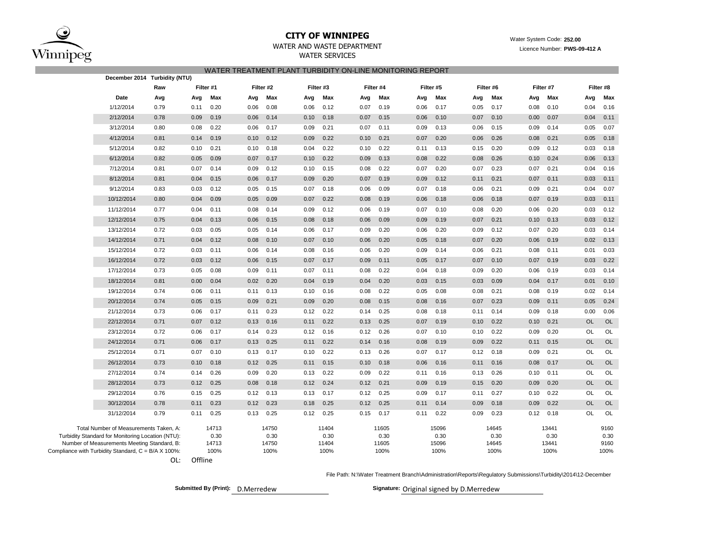

# **CITY OF WINNIPEG** Water System Code: 252.00<br>
TER AND WASTE DEPARTMENT

| WATER AND WASTE DEPARTMENT | Licence Number: PWS-09-412 A |
|----------------------------|------------------------------|
|                            |                              |

WATER SERVICES

| WATER TREATMENT PLANT TURBIDITY ON-LINE MONITORING REPORT |                                                   |      |      |           |           |       |      |           |      |           |      |           |      |           |      |           |           |           |  |
|-----------------------------------------------------------|---------------------------------------------------|------|------|-----------|-----------|-------|------|-----------|------|-----------|------|-----------|------|-----------|------|-----------|-----------|-----------|--|
|                                                           | December 2014 Turbidity (NTU)                     |      |      |           |           |       |      |           |      |           |      |           |      |           |      |           |           |           |  |
|                                                           |                                                   | Raw  |      | Filter #1 | Filter #2 |       |      | Filter #3 |      | Filter #4 |      | Filter #5 |      | Filter #6 |      | Filter #7 |           | Filter #8 |  |
|                                                           | Date                                              | Avg  | Avg  | Max       | Avg       | Max   | Avg  | Max       | Avg  | Max       | Avg  | Max       | Avg  | Max       | Avg  | Max       | Avg       | Max       |  |
|                                                           | 1/12/2014                                         | 0.79 | 0.11 | 0.20      | 0.06      | 0.08  | 0.06 | 0.12      | 0.07 | 0.19      | 0.06 | 0.17      | 0.05 | 0.17      | 0.08 | 0.10      | 0.04      | 0.16      |  |
|                                                           | 2/12/2014                                         | 0.78 | 0.09 | 0.19      | 0.06      | 0.14  | 0.10 | 0.18      | 0.07 | 0.15      | 0.06 | 0.10      | 0.07 | 0.10      | 0.00 | 0.07      | 0.04      | 0.11      |  |
|                                                           | 3/12/2014                                         | 0.80 | 0.08 | 0.22      | 0.06      | 0.17  | 0.09 | 0.21      | 0.07 | 0.11      | 0.09 | 0.13      | 0.06 | 0.15      | 0.09 | 0.14      | 0.05      | 0.07      |  |
|                                                           | 4/12/2014                                         | 0.81 | 0.14 | 0.19      | 0.10      | 0.12  | 0.09 | 0.22      | 0.10 | 0.21      | 0.07 | 0.20      | 0.06 | 0.26      | 0.08 | 0.21      | 0.05      | 0.18      |  |
|                                                           | 5/12/2014                                         | 0.82 | 0.10 | 0.21      | 0.10      | 0.18  | 0.04 | 0.22      | 0.10 | 0.22      | 0.11 | 0.13      | 0.15 | 0.20      | 0.09 | 0.12      | 0.03      | 0.18      |  |
|                                                           | 6/12/2014                                         | 0.82 | 0.05 | 0.09      | 0.07      | 0.17  | 0.10 | 0.22      | 0.09 | 0.13      | 0.08 | 0.22      | 0.08 | 0.26      | 0.10 | 0.24      | 0.06      | 0.13      |  |
|                                                           | 7/12/2014                                         | 0.81 | 0.07 | 0.14      | 0.09      | 0.12  | 0.10 | 0.15      | 0.08 | 0.22      | 0.07 | 0.20      | 0.07 | 0.23      | 0.07 | 0.21      | 0.04      | 0.16      |  |
|                                                           | 8/12/2014                                         | 0.81 | 0.04 | 0.15      | 0.06      | 0.17  | 0.09 | 0.20      | 0.07 | 0.19      | 0.09 | 0.12      | 0.11 | 0.21      | 0.07 | 0.11      | 0.03      | 0.11      |  |
|                                                           | 9/12/2014                                         | 0.83 | 0.03 | 0.12      | 0.05      | 0.15  | 0.07 | 0.18      | 0.06 | 0.09      | 0.07 | 0.18      | 0.06 | 0.21      | 0.09 | 0.21      | 0.04      | 0.07      |  |
|                                                           | 10/12/2014                                        | 0.80 | 0.04 | 0.09      | 0.05      | 0.09  | 0.07 | 0.22      | 0.08 | 0.19      | 0.06 | 0.18      | 0.06 | 0.18      | 0.07 | 0.19      | 0.03      | 0.11      |  |
|                                                           | 11/12/2014                                        | 0.77 | 0.04 | 0.11      | 0.08      | 0.14  | 0.09 | 0.12      | 0.06 | 0.19      | 0.07 | 0.10      | 0.08 | 0.20      | 0.06 | 0.20      | 0.03      | 0.12      |  |
|                                                           | 12/12/2014                                        | 0.75 | 0.04 | 0.13      | 0.06      | 0.15  | 0.08 | 0.18      | 0.06 | 0.09      | 0.09 | 0.19      | 0.07 | 0.21      | 0.10 | 0.13      | 0.03      | 0.12      |  |
|                                                           | 13/12/2014                                        | 0.72 | 0.03 | 0.05      | 0.05      | 0.14  | 0.06 | 0.17      | 0.09 | 0.20      | 0.06 | 0.20      | 0.09 | 0.12      | 0.07 | 0.20      | 0.03      | 0.14      |  |
|                                                           | 14/12/2014                                        | 0.71 | 0.04 | 0.12      | 0.08      | 0.10  | 0.07 | 0.10      | 0.06 | 0.20      | 0.05 | 0.18      | 0.07 | 0.20      | 0.06 | 0.19      | 0.02      | 0.13      |  |
|                                                           | 15/12/2014                                        | 0.72 | 0.03 | 0.11      | 0.06      | 0.14  | 0.08 | 0.16      | 0.06 | 0.20      | 0.09 | 0.14      | 0.06 | 0.21      | 0.08 | 0.11      | 0.01      | 0.03      |  |
|                                                           | 16/12/2014                                        | 0.72 | 0.03 | 0.12      | 0.06      | 0.15  | 0.07 | 0.17      | 0.09 | 0.11      | 0.05 | 0.17      | 0.07 | 0.10      | 0.07 | 0.19      | 0.03      | 0.22      |  |
|                                                           | 17/12/2014                                        | 0.73 | 0.05 | 0.08      | 0.09      | 0.11  | 0.07 | 0.11      | 0.08 | 0.22      | 0.04 | 0.18      | 0.09 | 0.20      | 0.06 | 0.19      | 0.03      | 0.14      |  |
|                                                           | 18/12/2014                                        | 0.81 | 0.00 | 0.04      | 0.02      | 0.20  | 0.04 | 0.19      | 0.04 | 0.20      | 0.03 | 0.15      | 0.03 | 0.09      | 0.04 | 0.17      | 0.01      | 0.10      |  |
|                                                           | 19/12/2014                                        | 0.74 | 0.06 | 0.11      | 0.11      | 0.13  | 0.10 | 0.16      | 0.08 | 0.22      | 0.05 | 0.08      | 0.08 | 0.21      | 0.08 | 0.19      | 0.02      | 0.14      |  |
|                                                           | 20/12/2014                                        | 0.74 | 0.05 | 0.15      | 0.09      | 0.21  | 0.09 | 0.20      | 0.08 | 0.15      | 0.08 | 0.16      | 0.07 | 0.23      | 0.09 | 0.11      | 0.05      | 0.24      |  |
|                                                           | 21/12/2014                                        | 0.73 | 0.06 | 0.17      | 0.11      | 0.23  | 0.12 | 0.22      | 0.14 | 0.25      | 0.08 | 0.18      | 0.11 | 0.14      | 0.09 | 0.18      | 0.00      | 0.06      |  |
|                                                           | 22/12/2014                                        | 0.71 | 0.07 | 0.12      | 0.13      | 0.16  | 0.11 | 0.22      | 0.13 | 0.25      | 0.07 | 0.19      | 0.10 | 0.22      | 0.10 | 0.21      | <b>OL</b> | OL        |  |
|                                                           | 23/12/2014                                        | 0.72 | 0.06 | 0.17      | 0.14      | 0.23  | 0.12 | 0.16      | 0.12 | 0.26      | 0.07 | 0.10      | 0.10 | 0.22      | 0.09 | 0.20      | OL        | OL        |  |
|                                                           | 24/12/2014                                        | 0.71 | 0.06 | 0.17      | 0.13      | 0.25  | 0.11 | 0.22      | 0.14 | 0.16      | 0.08 | 0.19      | 0.09 | 0.22      | 0.11 | 0.15      | <b>OL</b> | OL        |  |
|                                                           | 25/12/2014                                        | 0.71 | 0.07 | 0.10      | 0.13      | 0.17  | 0.10 | 0.22      | 0.13 | 0.26      | 0.07 | 0.17      | 0.12 | 0.18      | 0.09 | 0.21      | OL        | OL        |  |
|                                                           | 26/12/2014                                        | 0.73 | 0.10 | 0.18      | 0.12      | 0.25  | 0.11 | 0.15      | 0.10 | 0.18      | 0.06 | 0.16      | 0.11 | 0.16      | 0.08 | 0.17      | <b>OL</b> | <b>OL</b> |  |
|                                                           | 27/12/2014                                        | 0.74 | 0.14 | 0.26      | 0.09      | 0.20  | 0.13 | 0.22      | 0.09 | 0.22      | 0.11 | 0.16      | 0.13 | 0.26      | 0.10 | 0.11      | OL        | OL        |  |
|                                                           | 28/12/2014                                        | 0.73 | 0.12 | 0.25      | 0.08      | 0.18  | 0.12 | 0.24      | 0.12 | 0.21      | 0.09 | 0.19      | 0.15 | 0.20      | 0.09 | 0.20      | OL        | OL        |  |
|                                                           | 29/12/2014                                        | 0.76 | 0.15 | 0.25      | 0.12      | 0.13  | 0.13 | 0.17      | 0.12 | 0.25      | 0.09 | 0.17      | 0.11 | 0.27      | 0.10 | 0.22      | <b>OL</b> | OL        |  |
|                                                           | 30/12/2014                                        | 0.78 | 0.11 | 0.23      | 0.12      | 0.23  | 0.18 | 0.25      | 0.12 | 0.25      | 0.11 | 0.14      | 0.09 | 0.18      | 0.09 | 0.22      | <b>OL</b> | OL        |  |
|                                                           | 31/12/2014                                        | 0.79 | 0.11 | 0.25      | 0.13      | 0.25  | 0.12 | 0.25      | 0.15 | 0.17      | 0.11 | 0.22      | 0.09 | 0.23      | 0.12 | 0.18      | OL        | OL        |  |
|                                                           | Total Number of Measurements Taken, A:            |      |      | 14713     |           | 14750 |      | 11404     |      | 11605     |      | 15096     |      | 14645     |      | 13441     |           | 9160      |  |
|                                                           | Turbidity Standard for Monitoring Location (NTU): |      |      | 0.30      |           | 0.30  |      | 0.30      |      | 0.30      |      | 0.30      |      | 0.30      |      | 0.30      |           | 0.30      |  |
|                                                           | Number of Measurements Meeting Standard, B:       |      |      | 14713     |           | 14750 |      | 11404     |      | 11605     |      | 15096     |      | 14645     |      | 13441     |           | 9160      |  |
| Compliance with Turbidity Standard, C = B/A X 100%:       |                                                   |      |      | 100%      |           | 100%  |      | 100%      |      | 100%      |      | 100%      |      | 100%      |      | 100%      |           | 100%      |  |

OL: Offline

File Path: N:\Water Treatment Branch\Administration\Reports\Regulatory Submissions\Turbidity\2014\12-December

**Submitted By (Print):** D.Merredew **Signature:** Original signed by D.Merredew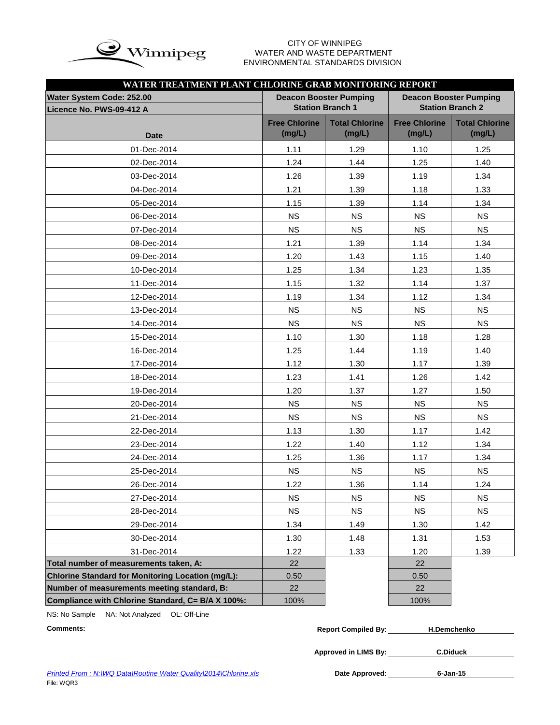

# WATER AND WASTE DEPARTMENT ENVIRONMENTAL STANDARDS DIVISION

| WATER TREATMENT PLANT CHLORINE GRAB MONITORING REPORT    |                                |                                                          |                                                          |                                 |  |  |  |  |
|----------------------------------------------------------|--------------------------------|----------------------------------------------------------|----------------------------------------------------------|---------------------------------|--|--|--|--|
| Water System Code: 252.00<br>Licence No. PWS-09-412 A    |                                | <b>Deacon Booster Pumping</b><br><b>Station Branch 1</b> | <b>Deacon Booster Pumping</b><br><b>Station Branch 2</b> |                                 |  |  |  |  |
| <b>Date</b>                                              | <b>Free Chlorine</b><br>(mg/L) | <b>Total Chlorine</b><br>(mg/L)                          | <b>Free Chlorine</b><br>(mg/L)                           | <b>Total Chlorine</b><br>(mg/L) |  |  |  |  |
| 01-Dec-2014                                              | 1.11                           | 1.29                                                     | 1.10                                                     | 1.25                            |  |  |  |  |
| 02-Dec-2014                                              | 1.24                           | 1.44                                                     | 1.25                                                     | 1.40                            |  |  |  |  |
| 03-Dec-2014                                              | 1.26                           | 1.39                                                     | 1.19                                                     | 1.34                            |  |  |  |  |
| 04-Dec-2014                                              | 1.21                           | 1.39                                                     | 1.18                                                     | 1.33                            |  |  |  |  |
| 05-Dec-2014                                              | 1.15                           | 1.39                                                     | 1.14                                                     | 1.34                            |  |  |  |  |
| 06-Dec-2014                                              | <b>NS</b>                      | <b>NS</b>                                                | <b>NS</b>                                                | <b>NS</b>                       |  |  |  |  |
| 07-Dec-2014                                              | <b>NS</b>                      | <b>NS</b>                                                | <b>NS</b>                                                | <b>NS</b>                       |  |  |  |  |
| 08-Dec-2014                                              | 1.21                           | 1.39                                                     | 1.14                                                     | 1.34                            |  |  |  |  |
| 09-Dec-2014                                              | 1.20                           | 1.43                                                     | 1.15                                                     | 1.40                            |  |  |  |  |
| 10-Dec-2014                                              | 1.25                           | 1.34                                                     | 1.23                                                     | 1.35                            |  |  |  |  |
| 11-Dec-2014                                              | 1.15                           | 1.32                                                     | 1.14                                                     | 1.37                            |  |  |  |  |
| 12-Dec-2014                                              | 1.19                           | 1.34                                                     | 1.12                                                     | 1.34                            |  |  |  |  |
| 13-Dec-2014                                              | <b>NS</b>                      | <b>NS</b>                                                | <b>NS</b>                                                | <b>NS</b>                       |  |  |  |  |
| 14-Dec-2014                                              | <b>NS</b>                      | <b>NS</b>                                                | <b>NS</b>                                                | <b>NS</b>                       |  |  |  |  |
| 15-Dec-2014                                              | 1.10                           | 1.30                                                     | 1.18                                                     | 1.28                            |  |  |  |  |
| 16-Dec-2014                                              | 1.25                           | 1.44                                                     | 1.19                                                     | 1.40                            |  |  |  |  |
| 17-Dec-2014                                              | 1.12                           | 1.30                                                     | 1.17                                                     | 1.39                            |  |  |  |  |
| 18-Dec-2014                                              | 1.23                           | 1.41                                                     | 1.26                                                     | 1.42                            |  |  |  |  |
| 19-Dec-2014                                              | 1.20                           | 1.37                                                     | 1.27                                                     | 1.50                            |  |  |  |  |
| 20-Dec-2014                                              | <b>NS</b>                      | <b>NS</b>                                                | <b>NS</b>                                                | <b>NS</b>                       |  |  |  |  |
| 21-Dec-2014                                              | <b>NS</b>                      | <b>NS</b>                                                | <b>NS</b>                                                | <b>NS</b>                       |  |  |  |  |
| 22-Dec-2014                                              | 1.13                           | 1.30                                                     | 1.17                                                     | 1.42                            |  |  |  |  |
| 23-Dec-2014                                              | 1.22                           | 1.40                                                     | 1.12                                                     | 1.34                            |  |  |  |  |
| 24-Dec-2014                                              | 1.25                           | 1.36                                                     | 1.17                                                     | 1.34                            |  |  |  |  |
| 25-Dec-2014                                              | <b>NS</b>                      | <b>NS</b>                                                | <b>NS</b>                                                | <b>NS</b>                       |  |  |  |  |
| 26-Dec-2014                                              | 1.22                           | 1.36                                                     | 1.14                                                     | 1.24                            |  |  |  |  |
| 27-Dec-2014                                              | <b>NS</b>                      | <b>NS</b>                                                | <b>NS</b>                                                | <b>NS</b>                       |  |  |  |  |
| 28-Dec-2014                                              | <b>NS</b>                      | <b>NS</b>                                                | <b>NS</b>                                                | <b>NS</b>                       |  |  |  |  |
| 29-Dec-2014                                              | 1.34                           | 1.49                                                     | 1.30                                                     | 1.42                            |  |  |  |  |
| 30-Dec-2014                                              | 1.30                           | 1.48                                                     | 1.31                                                     | 1.53                            |  |  |  |  |
| 31-Dec-2014                                              | 1.22                           | 1.33                                                     | 1.20                                                     | 1.39                            |  |  |  |  |
| Total number of measurements taken, A:                   | 22                             |                                                          | 22                                                       |                                 |  |  |  |  |
| <b>Chlorine Standard for Monitoring Location (mg/L):</b> | 0.50                           |                                                          | 0.50                                                     |                                 |  |  |  |  |
| Number of measurements meeting standard, B:              | 22                             |                                                          | 22                                                       |                                 |  |  |  |  |
| Compliance with Chlorine Standard, C= B/A X 100%:        | 100%                           |                                                          | 100%                                                     |                                 |  |  |  |  |

NS: No Sample NA: Not Analyzed OL: Off-Line

| <b>Comments:</b> | <b>Report Compiled By:</b> | <b>H.Demchenko</b> |
|------------------|----------------------------|--------------------|
|                  |                            |                    |

**Approved in LIMS By: C.Diduck**

Date Approved: 6-Jan-15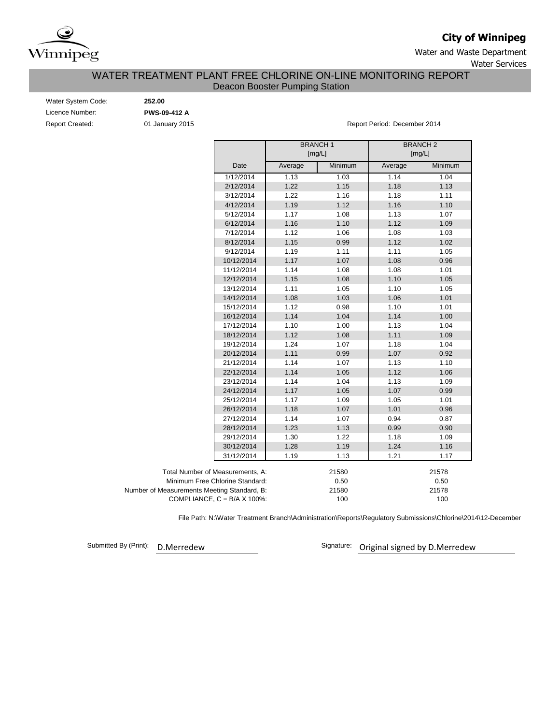

# **City of Winnipeg**

Water and Waste Department Water Services

# Deacon Booster Pumping Station WATER TREATMENT PLANT FREE CHLORINE ON-LINE MONITORING REPORT

| Water System Code:     |  |
|------------------------|--|
| Licence Number:        |  |
| <b>Report Created:</b> |  |

Water System Code: **252.00** Licence Number: **PWS-09-412 A**

01 January 2015 **Report Period: December 2014** 

|                                             |         | <b>BRANCH1</b><br>[mg/L] | <b>BRANCH2</b><br>[mg/L] |         |  |
|---------------------------------------------|---------|--------------------------|--------------------------|---------|--|
| Date                                        | Average | Minimum                  | Average                  | Minimum |  |
| 1/12/2014                                   | 1.13    | 1.03                     | 1.14                     | 1.04    |  |
| 2/12/2014                                   | 1.22    | 1.15                     | 1.18                     | 1.13    |  |
| 3/12/2014                                   | 1.22    | 1.16                     | 1.18                     | 1.11    |  |
| 4/12/2014                                   | 1.19    | 1.12                     | 1.16                     | 1.10    |  |
| 5/12/2014                                   | 1.17    | 1.08                     | 1.13                     | 1.07    |  |
| 6/12/2014                                   | 1.16    | 1.10                     | 1.12                     | 1.09    |  |
| 7/12/2014                                   | 1.12    | 1.06                     | 1.08                     | 1.03    |  |
| 8/12/2014                                   | 1.15    | 0.99                     | 1.12                     | 1.02    |  |
| 9/12/2014                                   | 1.19    | 1.11                     | 1.11                     | 1.05    |  |
| 10/12/2014                                  | 1.17    | 1.07                     | 1.08                     | 0.96    |  |
| 11/12/2014                                  | 1.14    | 1.08                     | 1.08                     | 1.01    |  |
| 12/12/2014                                  | 1.15    | 1.08                     | 1.10                     | 1.05    |  |
| 13/12/2014                                  | 1.11    | 1.05                     | 1.10                     | 1.05    |  |
| 14/12/2014                                  | 1.08    | 1.03                     | 1.06                     | 1.01    |  |
| 15/12/2014                                  | 1.12    | 0.98                     | 1.10                     | 1.01    |  |
| 16/12/2014                                  | 1.14    | 1.04                     | 1.14                     | 1.00    |  |
| 17/12/2014                                  | 1.10    | 1.00                     | 1.13                     | 1.04    |  |
| 18/12/2014                                  | 1.12    | 1.08                     | 1.11                     | 1.09    |  |
| 19/12/2014                                  | 1.24    | 1.07                     | 1.18                     | 1.04    |  |
| 20/12/2014                                  | 1.11    | 0.99                     | 1.07                     | 0.92    |  |
| 21/12/2014                                  | 1.14    | 1.07                     | 1.13                     | 1.10    |  |
| 22/12/2014                                  | 1.14    | 1.05                     | 1.12                     | 1.06    |  |
| 23/12/2014                                  | 1.14    | 1.04                     | 1.13                     | 1.09    |  |
| 24/12/2014                                  | 1.17    | 1.05                     | 1.07                     | 0.99    |  |
| 25/12/2014                                  | 1.17    | 1.09                     | 1.05                     | 1.01    |  |
| 26/12/2014                                  | 1.18    | 1.07                     | 1.01                     | 0.96    |  |
| 27/12/2014                                  | 1.14    | 1.07                     | 0.94                     | 0.87    |  |
| 28/12/2014                                  | 1.23    | 1.13                     | 0.99                     | 0.90    |  |
| 29/12/2014                                  | 1.30    | 1.22                     | 1.18                     | 1.09    |  |
| 30/12/2014                                  | 1.28    | 1.19                     | 1.24                     | 1.16    |  |
| 31/12/2014                                  | 1.19    | 1.13                     | 1.21                     | 1.17    |  |
| Total Number of Measurements, A:            |         | 21580                    |                          | 21578   |  |
| Minimum Free Chlorine Standard:             |         | 0.50                     |                          | 0.50    |  |
| Number of Measurements Meeting Standard, B: |         | 21580                    |                          | 21578   |  |
| COMPLIANCE, $C = B/A \times 100\%$ :        |         | 100                      |                          | 100     |  |

File Path: N:\Water Treatment Branch\Administration\Reports\Regulatory Submissions\Chlorine\2014\12-December

Submitted By (Print):

D.Merredew **D.Merredew** Signature: Original signed by D.Merredew